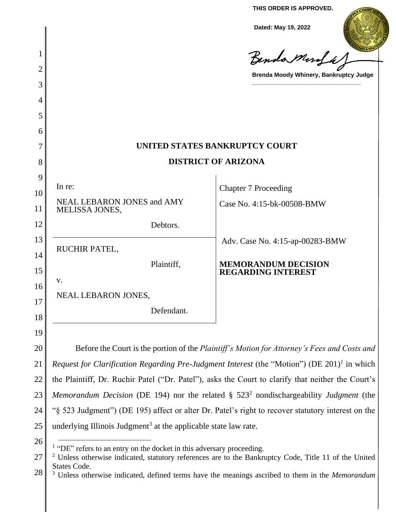**THIS ORDER IS APPROVED.**

**Dated: May 19, 2022**

| Dated: May 19, 2022                                                                                            |
|----------------------------------------------------------------------------------------------------------------|
| Benda Monda                                                                                                    |
| Brenda Moody Whinery, Bankruptcy Judge                                                                         |
|                                                                                                                |
|                                                                                                                |
|                                                                                                                |
|                                                                                                                |
| UNITED STATES BANKRUPTCY COURT                                                                                 |
| <b>DISTRICT OF ARIZONA</b>                                                                                     |
| <b>Chapter 7 Proceeding</b>                                                                                    |
| Case No. 4:15-bk-00508-BMW                                                                                     |
|                                                                                                                |
| Adv. Case No. 4:15-ap-00283-BMW<br><b>MEMORANDUM DECISION</b><br><b>REGARDING INTEREST</b>                     |
|                                                                                                                |
|                                                                                                                |
|                                                                                                                |
|                                                                                                                |
| Before the Court is the portion of the Plaintiff's Motion for Attorney's Fees and Costs and                    |
| <i>Request for Clarification Regarding Pre-Judgment Interest</i> (the "Motion") (DE 201) <sup>1</sup> in which |
| the Plaintiff, Dr. Ruchir Patel ("Dr. Patel"), asks the Court to clarify that neither the Court's              |
| Memorandum Decision (DE 194) nor the related $\S$ 523 <sup>2</sup> nondischargeability Judgment (the           |
| "§ 523 Judgment") (DE 195) affect or alter Dr. Patel's right to recover statutory interest on the              |
| underlying Illinois Judgment <sup>3</sup> at the applicable state law rate.                                    |
| $1$ "DE" refers to an entry on the docket in this adversary proceeding.                                        |
|                                                                                                                |

<sup>27</sup>  $2$  Unless otherwise indicated, statutory references are to the Bankruptcy Code, Title 11 of the United States Code.

<sup>28</sup> <sup>3</sup> Unless otherwise indicated, defined terms have the meanings ascribed to them in the *Memorandum*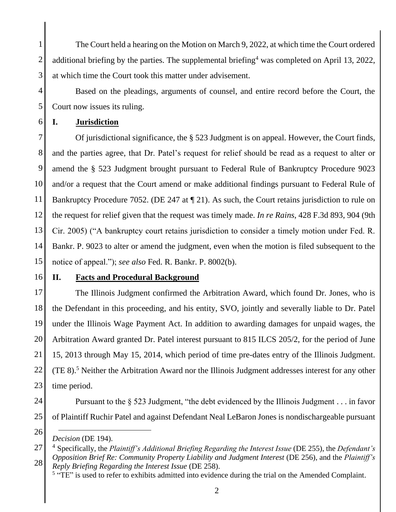2 3 The Court held a hearing on the Motion on March 9, 2022, at which time the Court ordered additional briefing by the parties. The supplemental briefing<sup>4</sup> was completed on April 13, 2022, at which time the Court took this matter under advisement.

4 5 Based on the pleadings, arguments of counsel, and entire record before the Court, the Court now issues its ruling.

## 6 **I. Jurisdiction**

7 8 9 10 11 12 13 14 15 Of jurisdictional significance, the § 523 Judgment is on appeal. However, the Court finds, and the parties agree, that Dr. Patel's request for relief should be read as a request to alter or amend the § 523 Judgment brought pursuant to Federal Rule of Bankruptcy Procedure 9023 and/or a request that the Court amend or make additional findings pursuant to Federal Rule of Bankruptcy Procedure 7052. (DE 247 at  $\P$  21). As such, the Court retains jurisdiction to rule on the request for relief given that the request was timely made. *In re Rains*, 428 F.3d 893, 904 (9th Cir. 2005) ("A bankruptcy court retains jurisdiction to consider a timely motion under Fed. R. Bankr. P. 9023 to alter or amend the judgment, even when the motion is filed subsequent to the notice of appeal."); *see also* Fed. R. Bankr. P. 8002(b).

16

1

## **II. Facts and Procedural Background**

17 18 19 20 21 22 23 The Illinois Judgment confirmed the Arbitration Award, which found Dr. Jones, who is the Defendant in this proceeding, and his entity, SVO, jointly and severally liable to Dr. Patel under the Illinois Wage Payment Act. In addition to awarding damages for unpaid wages, the Arbitration Award granted Dr. Patel interest pursuant to 815 ILCS 205/2, for the period of June 15, 2013 through May 15, 2014, which period of time pre-dates entry of the Illinois Judgment. (TE 8).<sup>5</sup> Neither the Arbitration Award nor the Illinois Judgment addresses interest for any other time period.

24

25 Pursuant to the § 523 Judgment, "the debt evidenced by the Illinois Judgment . . . in favor of Plaintiff Ruchir Patel and against Defendant Neal LeBaron Jones is nondischargeable pursuant

<sup>26</sup>

*Decision* (DE 194).

<sup>27</sup> 28 <sup>4</sup> Specifically, the *Plaintiff's Additional Briefing Regarding the Interest Issue* (DE 255), the *Defendant's Opposition Brief Re: Community Property Liability and Judgment Interest* (DE 256), and the *Plaintiff's Reply Briefing Regarding the Interest Issue* (DE 258).

<sup>&</sup>lt;sup>5</sup> "TE" is used to refer to exhibits admitted into evidence during the trial on the Amended Complaint.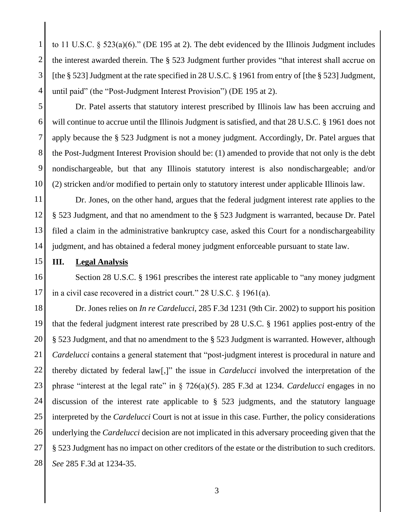1 2 3 4 to 11 U.S.C. § 523(a)(6)." (DE 195 at 2). The debt evidenced by the Illinois Judgment includes the interest awarded therein. The § 523 Judgment further provides "that interest shall accrue on [the § 523] Judgment at the rate specified in 28 U.S.C. § 1961 from entry of [the § 523] Judgment, until paid" (the "Post-Judgment Interest Provision") (DE 195 at 2).

5 6 7 8 9 10 Dr. Patel asserts that statutory interest prescribed by Illinois law has been accruing and will continue to accrue until the Illinois Judgment is satisfied, and that 28 U.S.C. § 1961 does not apply because the § 523 Judgment is not a money judgment. Accordingly, Dr. Patel argues that the Post-Judgment Interest Provision should be: (1) amended to provide that not only is the debt nondischargeable, but that any Illinois statutory interest is also nondischargeable; and/or (2) stricken and/or modified to pertain only to statutory interest under applicable Illinois law.

11 12 13 14 Dr. Jones, on the other hand, argues that the federal judgment interest rate applies to the § 523 Judgment, and that no amendment to the § 523 Judgment is warranted, because Dr. Patel filed a claim in the administrative bankruptcy case, asked this Court for a nondischargeability judgment, and has obtained a federal money judgment enforceable pursuant to state law.

15 **III. Legal Analysis**

16 17 Section 28 U.S.C. § 1961 prescribes the interest rate applicable to "any money judgment in a civil case recovered in a district court." 28 U.S.C. § 1961(a).

18 19 20 21 22 23 24 25 26 27 28 Dr. Jones relies on *In re Cardelucci*, 285 F.3d 1231 (9th Cir. 2002) to support his position that the federal judgment interest rate prescribed by 28 U.S.C. § 1961 applies post-entry of the § 523 Judgment, and that no amendment to the § 523 Judgment is warranted. However, although *Cardelucci* contains a general statement that "post-judgment interest is procedural in nature and thereby dictated by federal law[,]" the issue in *Cardelucci* involved the interpretation of the phrase "interest at the legal rate" in § 726(a)(5). 285 F.3d at 1234. *Cardelucci* engages in no discussion of the interest rate applicable to § 523 judgments, and the statutory language interpreted by the *Cardelucci* Court is not at issue in this case. Further, the policy considerations underlying the *Cardelucci* decision are not implicated in this adversary proceeding given that the § 523 Judgment has no impact on other creditors of the estate or the distribution to such creditors. *See* 285 F.3d at 1234-35.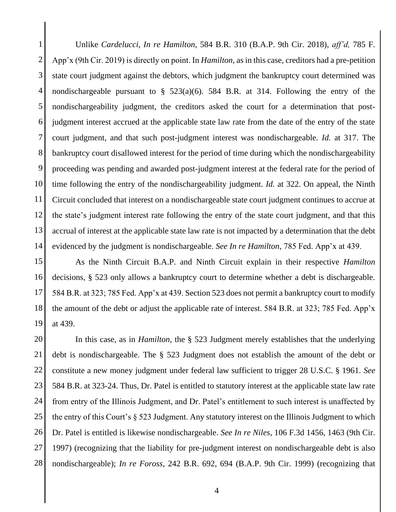1 2 3 4 5 6 7 8 9 10 11 12 13 14 Unlike *Cardelucci, In re Hamilton*, 584 B.R. 310 (B.A.P. 9th Cir. 2018), *aff'd,* 785 F. App'x (9th Cir. 2019) is directly on point. In *Hamilton*, as in this case, creditors had a pre-petition state court judgment against the debtors, which judgment the bankruptcy court determined was nondischargeable pursuant to  $\S$  523(a)(6). 584 B.R. at 314. Following the entry of the nondischargeability judgment, the creditors asked the court for a determination that postjudgment interest accrued at the applicable state law rate from the date of the entry of the state court judgment, and that such post-judgment interest was nondischargeable. *Id.* at 317. The bankruptcy court disallowed interest for the period of time during which the nondischargeability proceeding was pending and awarded post-judgment interest at the federal rate for the period of time following the entry of the nondischargeability judgment. *Id.* at 322. On appeal, the Ninth Circuit concluded that interest on a nondischargeable state court judgment continues to accrue at the state's judgment interest rate following the entry of the state court judgment, and that this accrual of interest at the applicable state law rate is not impacted by a determination that the debt evidenced by the judgment is nondischargeable. *See In re Hamilton*, 785 Fed. App'x at 439.

15 16 17 18 19 As the Ninth Circuit B.A.P. and Ninth Circuit explain in their respective *Hamilton*  decisions, § 523 only allows a bankruptcy court to determine whether a debt is dischargeable. 584 B.R. at 323; 785 Fed. App'x at 439. Section 523 does not permit a bankruptcy court to modify the amount of the debt or adjust the applicable rate of interest. 584 B.R. at 323; 785 Fed. App'x at 439.

20 21 22 23 24 25 26 27 28 In this case, as in *Hamilton*, the § 523 Judgment merely establishes that the underlying debt is nondischargeable. The § 523 Judgment does not establish the amount of the debt or constitute a new money judgment under federal law sufficient to trigger 28 U.S.C. § 1961. *See*  584 B.R. at 323-24. Thus, Dr. Patel is entitled to statutory interest at the applicable state law rate from entry of the Illinois Judgment, and Dr. Patel's entitlement to such interest is unaffected by the entry of this Court's § 523 Judgment. Any statutory interest on the Illinois Judgment to which Dr. Patel is entitled is likewise nondischargeable. *See In re Niles*, 106 F.3d 1456, 1463 (9th Cir. 1997) (recognizing that the liability for pre-judgment interest on nondischargeable debt is also nondischargeable); *In re Foross*, 242 B.R. 692, 694 (B.A.P. 9th Cir. 1999) (recognizing that

4